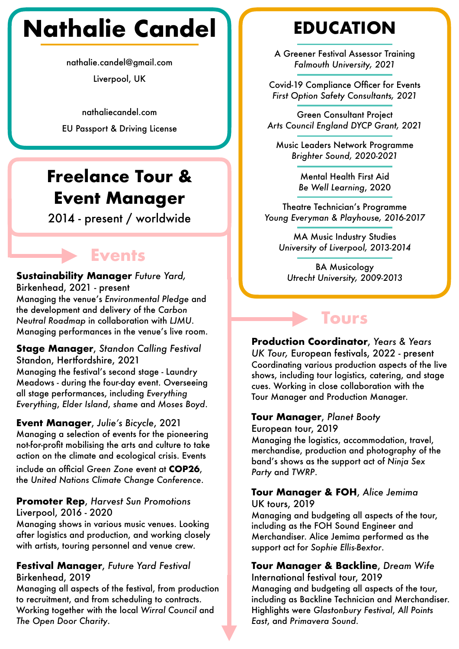# **Nathalie Candel**

nathalie.candel@gmail.com

Liverpool, UK

nathaliecandel.com

### **Freelance Tour & Event Manager**

2014 - present / worldwide

### **Events**

#### **Sustainability Manager** *Future Yard,*  Birkenhead, 2021 - present Managing the venue's *Environmental Pledge* and the development and delivery of the *Carbon Neutral Roadmap* in collaboration with *LJMU*. Managing performances in the venue's live room.

**Stage Manager**, *Standon Calling Festival* Standon, Hertfordshire, 2021 Managing the festival's second stage - Laundry Meadows - during the four-day event. Overseeing all stage performances, including *Everything Everything*, *Elder Island*, *shame* and *Moses Boyd*.

#### **Event Manager**, *Julie's Bicycle*, 2021

Managing a selection of events for the pioneering not-for-profit mobilising the arts and culture to take action on the climate and ecological crisis. Events

include an official *Green Zone* event at **COP26**, the *United Nations Climate Change Conference*.

#### **Promoter Rep**, *Harvest Sun Promotions* Liverpool, 2016 - 2020

Managing shows in various music venues. Looking after logistics and production, and working closely with artists, touring personnel and venue crew.

#### **Festival Manager**, *Future Yard Festival* Birkenhead, 2019

Managing all aspects of the festival, from production to recruitment, and from scheduling to contracts. Working together with the local *Wirral Council* and *The Open Door Charity*.

### **EDUCATION**

A Greener Festival Assessor Training *Falmouth University, 2021*

Covid-19 Compliance Officer for Events *First Option Safety Consultants, 2021*

Green Consultant Project *Arts Council England DYCP Grant, 2021* EU Passport & Driving License

> Music Leaders Network Programme *Brighter Sound, 2020-2021*

> > Mental Health First Aid *Be Well Learning*, 2020

Theatre Technician's Programme *Young Everyman & Playhouse, 2016-2017*

MA Music Industry Studies *University of Liverpool, 2013-2014*

BA Musicology *Utrecht University, 2009-2013*

### **Tours**

**Production Coordinator**, *Years & Years UK Tour,* European festivals, 2022 - present Coordinating various production aspects of the live shows, including tour logistics, catering, and stage cues. Working in close collaboration with the Tour Manager and Production Manager.

#### **Tour Manager**, *Planet Booty*

European tour, 2019

Managing the logistics, accommodation, travel, merchandise, production and photography of the band's shows as the support act of *Ninja Sex Party* and *TWRP*.

#### **Tour Manager & FOH**, *Alice Jemima* UK tours, 2019

Managing and budgeting all aspects of the tour, including as the FOH Sound Engineer and Merchandiser. Alice Jemima performed as the support act for *Sophie Ellis-Bextor*.

### **Tour Manager & Backline**, *Dream Wife*

International festival tour, 2019 Managing and budgeting all aspects of the tour, including as Backline Technician and Merchandiser. Highlights were *Glastonbury Festival*, *All Points East*, and *Primavera Sound.*